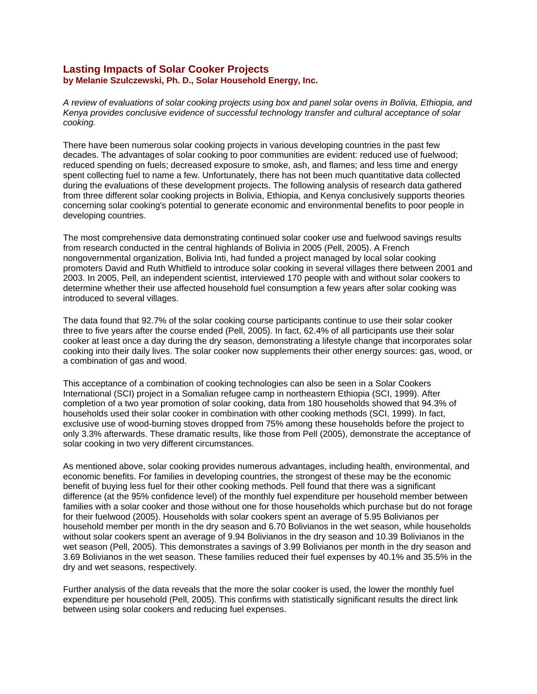## **Lasting Impacts of Solar Cooker Projects by Melanie Szulczewski, Ph. D., Solar Household Energy, Inc.**

*A review of evaluations of solar cooking projects using box and panel solar ovens in Bolivia, Ethiopia, and Kenya provides conclusive evidence of successful technology transfer and cultural acceptance of solar cooking.*

There have been numerous solar cooking projects in various developing countries in the past few decades. The advantages of solar cooking to poor communities are evident: reduced use of fuelwood; reduced spending on fuels; decreased exposure to smoke, ash, and flames; and less time and energy spent collecting fuel to name a few. Unfortunately, there has not been much quantitative data collected during the evaluations of these development projects. The following analysis of research data gathered from three different solar cooking projects in Bolivia, Ethiopia, and Kenya conclusively supports theories concerning solar cooking's potential to generate economic and environmental benefits to poor people in developing countries.

The most comprehensive data demonstrating continued solar cooker use and fuelwood savings results from research conducted in the central highlands of Bolivia in 2005 (Pell, 2005). A French nongovernmental organization, Bolivia Inti, had funded a project managed by local solar cooking promoters David and Ruth Whitfield to introduce solar cooking in several villages there between 2001 and 2003. In 2005, Pell, an independent scientist, interviewed 170 people with and without solar cookers to determine whether their use affected household fuel consumption a few years after solar cooking was introduced to several villages.

The data found that 92.7% of the solar cooking course participants continue to use their solar cooker three to five years after the course ended (Pell, 2005). In fact, 62.4% of all participants use their solar cooker at least once a day during the dry season, demonstrating a lifestyle change that incorporates solar cooking into their daily lives. The solar cooker now supplements their other energy sources: gas, wood, or a combination of gas and wood.

This acceptance of a combination of cooking technologies can also be seen in a Solar Cookers International (SCI) project in a Somalian refugee camp in northeastern Ethiopia (SCI, 1999). After completion of a two year promotion of solar cooking, data from 180 households showed that 94.3% of households used their solar cooker in combination with other cooking methods (SCI, 1999). In fact, exclusive use of wood-burning stoves dropped from 75% among these households before the project to only 3.3% afterwards. These dramatic results, like those from Pell (2005), demonstrate the acceptance of solar cooking in two very different circumstances.

As mentioned above, solar cooking provides numerous advantages, including health, environmental, and economic benefits. For families in developing countries, the strongest of these may be the economic benefit of buying less fuel for their other cooking methods. Pell found that there was a significant difference (at the 95% confidence level) of the monthly fuel expenditure per household member between families with a solar cooker and those without one for those households which purchase but do not forage for their fuelwood (2005). Households with solar cookers spent an average of 5.95 Bolivianos per household member per month in the dry season and 6.70 Bolivianos in the wet season, while households without solar cookers spent an average of 9.94 Bolivianos in the dry season and 10.39 Bolivianos in the wet season (Pell, 2005). This demonstrates a savings of 3.99 Bolivianos per month in the dry season and 3.69 Bolivianos in the wet season. These families reduced their fuel expenses by 40.1% and 35.5% in the dry and wet seasons, respectively.

Further analysis of the data reveals that the more the solar cooker is used, the lower the monthly fuel expenditure per household (Pell, 2005). This confirms with statistically significant results the direct link between using solar cookers and reducing fuel expenses.